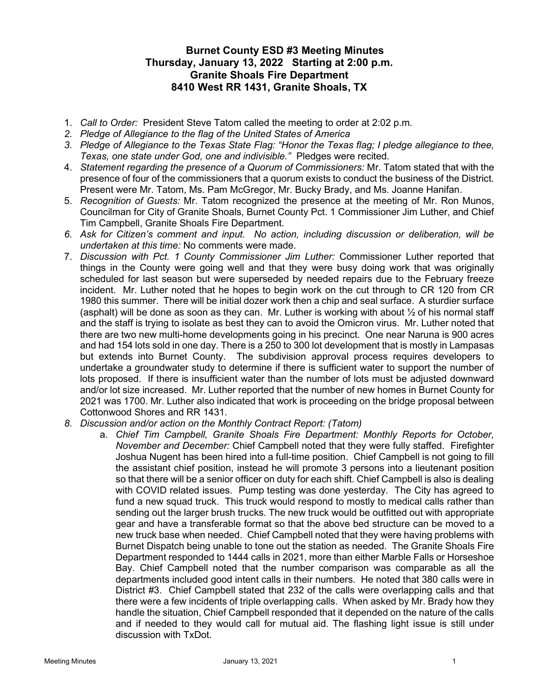## Burnet County ESD #3 Meeting Minutes Thursday, January 13, 2022 Starting at 2:00 p.m. Granite Shoals Fire Department 8410 West RR 1431, Granite Shoals, TX

- 1. Call to Order: President Steve Tatom called the meeting to order at 2:02 p.m.
- 2. Pledge of Allegiance to the flag of the United States of America
- 3. Pledge of Allegiance to the Texas State Flag: "Honor the Texas flag; I pledge allegiance to thee, Texas, one state under God, one and indivisible." Pledges were recited.
- 4. Statement regarding the presence of a Quorum of Commissioners: Mr. Tatom stated that with the presence of four of the commissioners that a quorum exists to conduct the business of the District. Present were Mr. Tatom, Ms. Pam McGregor, Mr. Bucky Brady, and Ms. Joanne Hanifan.
- 5. Recognition of Guests: Mr. Tatom recognized the presence at the meeting of Mr. Ron Munos, Councilman for City of Granite Shoals, Burnet County Pct. 1 Commissioner Jim Luther, and Chief Tim Campbell, Granite Shoals Fire Department.
- 6. Ask for Citizen's comment and input. No action, including discussion or deliberation, will be undertaken at this time: No comments were made.
- 7. Discussion with Pct. 1 County Commissioner Jim Luther: Commissioner Luther reported that things in the County were going well and that they were busy doing work that was originally scheduled for last season but were superseded by needed repairs due to the February freeze incident. Mr. Luther noted that he hopes to begin work on the cut through to CR 120 from CR 1980 this summer. There will be initial dozer work then a chip and seal surface. A sturdier surface (asphalt) will be done as soon as they can. Mr. Luther is working with about  $\frac{1}{2}$  of his normal staff and the staff is trying to isolate as best they can to avoid the Omicron virus. Mr. Luther noted that there are two new multi-home developments going in his precinct. One near Naruna is 900 acres and had 154 lots sold in one day. There is a 250 to 300 lot development that is mostly in Lampasas but extends into Burnet County. The subdivision approval process requires developers to undertake a groundwater study to determine if there is sufficient water to support the number of lots proposed. If there is insufficient water than the number of lots must be adjusted downward and/or lot size increased. Mr. Luther reported that the number of new homes in Burnet County for 2021 was 1700. Mr. Luther also indicated that work is proceeding on the bridge proposal between Cottonwood Shores and RR 1431.
- 8. Discussion and/or action on the Monthly Contract Report: (Tatom)
	- a. Chief Tim Campbell, Granite Shoals Fire Department: Monthly Reports for October, November and December: Chief Campbell noted that they were fully staffed. Firefighter Joshua Nugent has been hired into a full-time position. Chief Campbell is not going to fill the assistant chief position, instead he will promote 3 persons into a lieutenant position so that there will be a senior officer on duty for each shift. Chief Campbell is also is dealing with COVID related issues. Pump testing was done yesterday. The City has agreed to fund a new squad truck. This truck would respond to mostly to medical calls rather than sending out the larger brush trucks. The new truck would be outfitted out with appropriate gear and have a transferable format so that the above bed structure can be moved to a new truck base when needed. Chief Campbell noted that they were having problems with Burnet Dispatch being unable to tone out the station as needed. The Granite Shoals Fire Department responded to 1444 calls in 2021, more than either Marble Falls or Horseshoe Bay. Chief Campbell noted that the number comparison was comparable as all the departments included good intent calls in their numbers. He noted that 380 calls were in District #3. Chief Campbell stated that 232 of the calls were overlapping calls and that there were a few incidents of triple overlapping calls. When asked by Mr. Brady how they handle the situation, Chief Campbell responded that it depended on the nature of the calls and if needed to they would call for mutual aid. The flashing light issue is still under discussion with TxDot.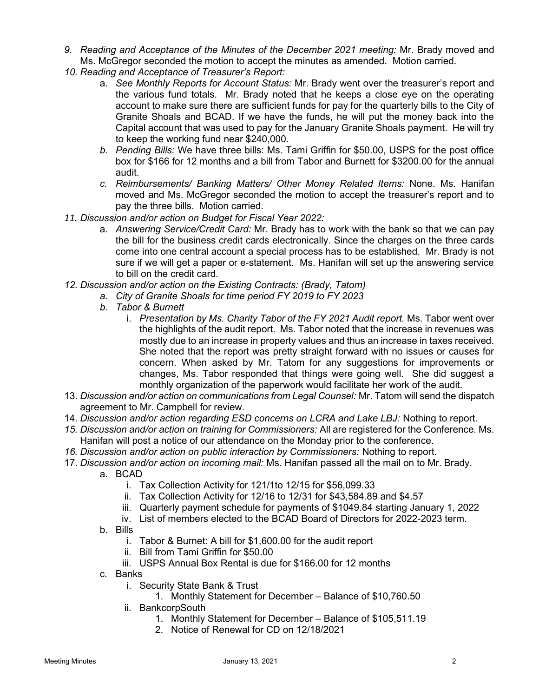- 9. Reading and Acceptance of the Minutes of the December 2021 meeting: Mr. Brady moved and Ms. McGregor seconded the motion to accept the minutes as amended. Motion carried.
- 10. Reading and Acceptance of Treasurer's Report:
	- a. See Monthly Reports for Account Status: Mr. Brady went over the treasurer's report and the various fund totals. Mr. Brady noted that he keeps a close eye on the operating account to make sure there are sufficient funds for pay for the quarterly bills to the City of Granite Shoals and BCAD. If we have the funds, he will put the money back into the Capital account that was used to pay for the January Granite Shoals payment. He will try to keep the working fund near \$240,000.
	- b. Pending Bills: We have three bills: Ms. Tami Griffin for \$50.00, USPS for the post office box for \$166 for 12 months and a bill from Tabor and Burnett for \$3200.00 for the annual audit.
	- c. Reimbursements/ Banking Matters/ Other Money Related Items: None. Ms. Hanifan moved and Ms. McGregor seconded the motion to accept the treasurer's report and to pay the three bills. Motion carried.
- 11. Discussion and/or action on Budget for Fiscal Year 2022:
	- a. Answering Service/Credit Card: Mr. Brady has to work with the bank so that we can pay the bill for the business credit cards electronically. Since the charges on the three cards come into one central account a special process has to be established. Mr. Brady is not sure if we will get a paper or e-statement. Ms. Hanifan will set up the answering service to bill on the credit card.
- 12. Discussion and/or action on the Existing Contracts: (Brady, Tatom)
	- a. City of Granite Shoals for time period FY 2019 to FY 2023
	- b. Tabor & Burnett
		- i. Presentation by Ms. Charity Tabor of the FY 2021 Audit report. Ms. Tabor went over the highlights of the audit report. Ms. Tabor noted that the increase in revenues was mostly due to an increase in property values and thus an increase in taxes received. She noted that the report was pretty straight forward with no issues or causes for concern. When asked by Mr. Tatom for any suggestions for improvements or changes, Ms. Tabor responded that things were going well. She did suggest a monthly organization of the paperwork would facilitate her work of the audit.
- 13. Discussion and/or action on communications from Legal Counsel: Mr. Tatom will send the dispatch agreement to Mr. Campbell for review.
- 14. Discussion and/or action regarding ESD concerns on LCRA and Lake LBJ: Nothing to report.
- 15. Discussion and/or action on training for Commissioners: All are registered for the Conference. Ms. Hanifan will post a notice of our attendance on the Monday prior to the conference.
- 16. Discussion and/or action on public interaction by Commissioners: Nothing to report.
- 17. Discussion and/or action on incoming mail: Ms. Hanifan passed all the mail on to Mr. Brady. a. BCAD
	- i. Tax Collection Activity for 121/1to 12/15 for \$56,099.33
	- ii. Tax Collection Activity for 12/16 to 12/31 for \$43,584.89 and \$4.57
	- iii. Quarterly payment schedule for payments of \$1049.84 starting January 1, 2022
	- iv. List of members elected to the BCAD Board of Directors for 2022-2023 term.
	- b. Bills
		- i. Tabor & Burnet: A bill for \$1,600.00 for the audit report
		- ii. Bill from Tami Griffin for \$50.00
		- iii. USPS Annual Box Rental is due for \$166.00 for 12 months
	- c. Banks
		- i. Security State Bank & Trust
			- 1. Monthly Statement for December Balance of \$10,760.50
		- ii. BankcorpSouth
			- 1. Monthly Statement for December Balance of \$105,511.19
			- 2. Notice of Renewal for CD on 12/18/2021